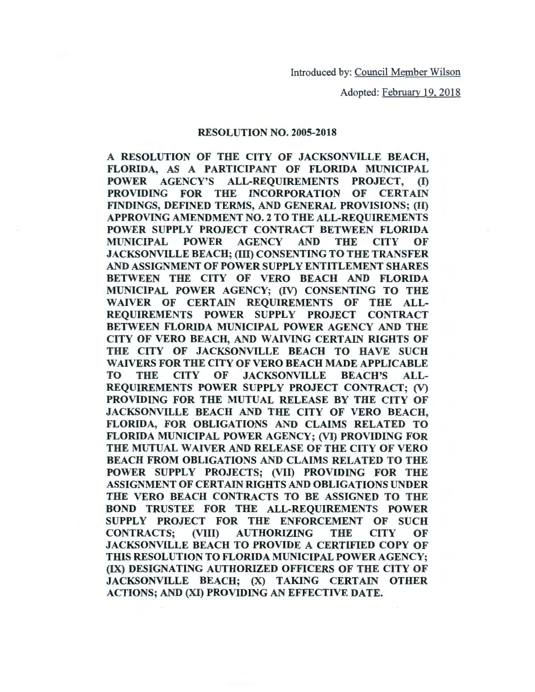Adopted: February 19, 2018

### RESOLUTION NO. 2005-2018

A RESOLUTION OF THE CITY OF JACKSONVILLE BEACH, FLORIDA, AS A PARTICIPANT OF FLORIDA MUNICIPAL POWER AGENCY'S ALL-REQUIREMENTS PROJECT, (I) PROVIDING FOR THE INCORPORATION OF CERTAIN FINDINGS, DEFINED TERMS, AND GENERAL PROVISIONS; (II) APPROVING AMENDMENT NO. 2 TO THE ALL-REQUIREMENTS POWER SUPPLY PROJECT CONTRACT BETWEEN FLORIDA MUNICIPAL POWER AGENCY AND THE CITY OF JACKSONVILLE BEACH; (III) CONSENTING TO THE TRANSFER AND ASSIGNMENT OF POWER SUPPLY ENTITLEMENT SHARES BETWEEN THE CITY OF VERO BEACH AND FLORIDA MUNICIPAL POWER AGENCY; (IV) CONSENTING TO THE WAIVER OF CERTAIN REQUIREMENTS OF THE ALL-REQUIREMENTS POWER SUPPLY PROJECT CONTRACT BETWEEN FLORIDA MUNICIPAL POWER AGENCY AND THE CITY OF VERO BEACH, AND WAIVING CERTAIN RIGHTS OF THE CITY OF JACKSONVILLE BEACH TO HAVE SUCH WAIVERS FOR THE CITY OF VERO BEACH MADE APPLICABLE TO THE CITY OF JACKSONVILLE BEACH'S ALL-REQUIREMENTS POWER SUPPLY PROJECT CONTRACT; (V) PROVIDING FOR THE MUTUAL RELEASE BY THE CITY OF JACKSONVILLE BEACH AND THE CITY OF VERO BEACH, FLORIDA, FOR OBLIGATIONS AND CLAIMS RELATED TO FLORIDA MUNICIPAL POWER AGENCY; (VI) PROVIDING FOR THE MUTUAL WAIVER AND RELEASE OF THE CITY OF VERO BEACH FROM OBLIGATIONS AND CLAIMS RELATED TO THE POWER SUPPLY PROJECTS; (VII) PROVIDING FOR THE ASSIGNMENT OF CERTAIN RIGHTS AND OBLIGATIONS UNDER THE VERO BEACH CONTRACTS TO BE ASSIGNED TO THE BOND TRUSTEE FOR THE ALL-REQUIREMENTS POWER SUPPLY PROJECT FOR THE ENFORCEMENT OF SUCH CONTRACTS; (VIII) AUTHORIZING THE CITY OF JACKSONVILLE BEACH TO PROVIDE A CERTIFIED COPY OF THIS RESOLUTION TO FLORIDA MUNICIPAL POWER AGENCY; (IX) DESIGNATING AUTHORIZED OFFICERS OF THE CITY OF JACKSONVILLE BEACH; (X) TAKING CERTAIN OTHER ACTIONS; AND (XI) PROVIDING AN EFFECTIVE DATE.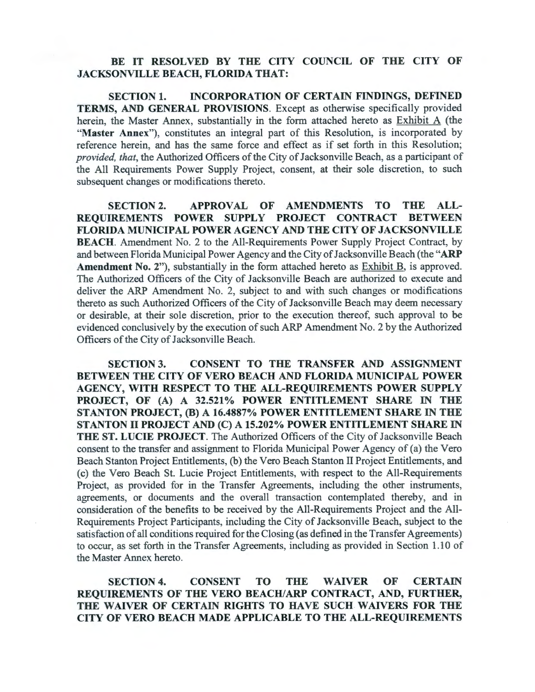# BE IT RESOLVED BY THE CITY COUNCIL OF THE CITY OF JACKSONVILLE BEACH, FLORIDA THAT:

SECTION 1. INCORPORATION OF CERTAIN FINDINGS, DEFINED TERMS, AND GENERAL PROVISIONS. Except as otherwise specifically provided herein, the Master Annex, substantially in the form attached hereto as Exhibit A (the "Master Annex"), constitutes an integral part of this Resolution, is incorporated by reference herein, and has the same force and effect as if set forth in this Resolution; *provided, that,* the Authorized Officers of the City of Jacksonville Beach, as a participant of the All Requirements Power Supply Project, consent, at their sole discretion, to such subsequent changes or modifications thereto.

SECTION 2. APPROVAL OF AMENDMENTS TO THE ALL-REQUIREMENTS POWER SUPPLY PROJECT CONTRACT BETWEEN FLORIDA MUNICIPAL POWER AGENCY AND THE CITY OF JACKSONVILLE BEACH. Amendment No. 2 to the All-Requirements Power Supply Project Contract, by and between Florida Municipal Power Agency and the City of Jacksonville Beach (the "ARP Amendment No. 2"), substantially in the form attached hereto as Exhibit B, is approved. The Authorized Officers of the City of Jacksonville Beach are authorized to execute and deliver the ARP Amendment No. 2, subject to and with such changes or modifications thereto as such Authorized Officers of the City of Jacksonville Beach may deem necessary or desirable, at their sole discretion, prior to the execution thereof, such approval to be evidenced conclusively by the execution of such ARP Amendment No. 2 by the Authorized Officers of the City of Jacksonville Beach.

SECTION 3. CONSENT TO THE TRANSFER AND ASSIGNMENT BETWEEN THE CITY OF VERO BEACH AND FLORIDA MUNICIPAL POWER AGENCY, WITH RESPECT TO THE ALL-REQUIREMENTS POWER SUPPLY PROJECT, OF (A) A 32.521% POWER ENTITLEMENT SHARE IN THE STANTON PROJECT, (B) A 16.4887% POWER ENTITLEMENT SHARE IN THE STANTON II PROJECT AND (C) A 15.202% POWER ENTITLEMENT SHARE IN THE ST. LUCIE PROJECT. The Authorized Officers of the City of Jacksonville Beach consent to the transfer and assignment to Florida Municipal Power Agency of (a) the Vero Beach Stanton Project Entitlements, (b) the Vero Beach Stanton II Project Entitlements, and (c) the Vero Beach St. Lucie Project Entitlements, with respect to the All-Requirements Project, as provided for in the Transfer Agreements, including the other instruments, agreements, or documents and the overall transaction contemplated thereby, and in consideration of the benefits to be received by the All-Requirements Project and the All-Requirements Project Participants, including the City of Jacksonville Beach, subject to the satisfaction of all conditions required for the Closing (as defined in the Transfer Agreements) to occur, as set forth in the Transfer Agreements, including as provided in Section 1.10 of the Master Annex hereto.

SECTION 4. CONSENT TO THE WAIVER OF CERTAIN REQUIREMENTS OF THE VERO BEACH/ARP CONTRACT, AND, FURTHER, THE WAIVER OF CERTAIN RIGHTS TO HAVE SUCH WAIVERS FOR THE CITY OF VERO BEACH MADE APPLICABLE TO THE ALL-REQUIREMENTS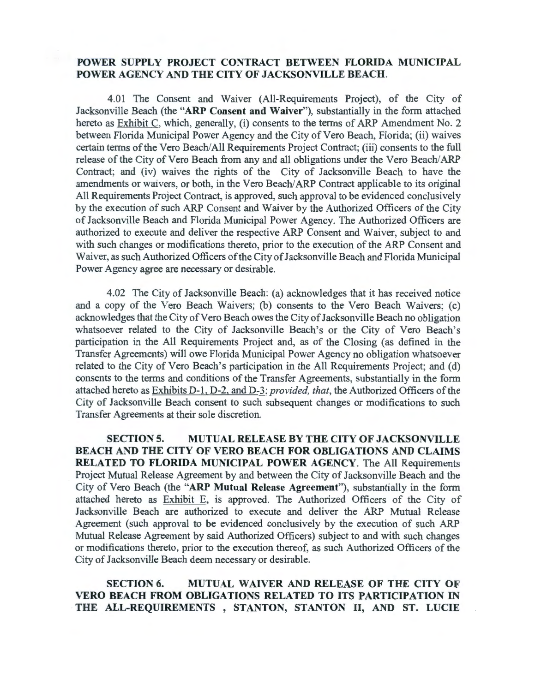## **POWER SUPPLY PROJECT CONTRACT BETWEEN FLORIDA MUNICIPAL POWER AGENCY AND THE CITY OF JACKSONVILLE BEACH.**

4.01 The Consent and Waiver (All-Requirements Project), of the City of Jacksonville Beach (the **"ARP Consent and Waiver"),** substantially in the form attached hereto as Exhibit C, which, generally, (i) consents to the terms of ARP Amendment No. 2 between Florida Municipal Power Agency and the City of Vero Beach, Florida; (ii) waives certain terms of the Vero Beach/All Requirements Project Contract; (iii) consents to the full release of the City of Vero Beach from any and all obligations under the Vero Beach/ ARP Contract; and (iv) waives the rights of the City of Jacksonville Beach to have the amendments or waivers, or both, in the Vero Beach/ARP Contract applicable to its original All Requirements Project Contract, is approved, such approval to be evidenced conclusively by the execution of such ARP Consent and Waiver by the Authorized Officers of the City of Jacksonville Beach and Florida Municipal Power Agency. The Authorized Officers are authorized to execute and deliver the respective ARP Consent and Waiver, subject to and with such changes or modifications thereto, prior to the execution of the ARP Consent and Waiver, as such Authorized Officers of the City of Jacksonville Beach and Florida Municipal Power Agency agree are necessary or desirable.

4.02 The City of Jacksonville Beach: (a) acknowledges that it has received notice and a copy of the Vero Beach Waivers; (b) consents to the Vero Beach Waivers; (c) acknowledges that the City of Vero Beach owes the City of Jacksonville Beach no obligation whatsoever related to the City of Jacksonville Beach's or the City of Vero Beach's participation in the All Requirements Project and, as of the Closing (as defined in the Transfer Agreements) will owe Florida Municipal Power Agency no obligation whatsoever related to the City of Vero Beach's participation in the All Requirements Project; and (d) consents to the terms and conditions of the Transfer Agreements, substantially in the form attached hereto as Exhibits D-1, D-2, and D-3; *provided, that*, the Authorized Officers of the City of Jacksonville Beach consent to such subsequent changes or modifications to such Transfer Agreements at their sole discretion.

**SECTION 5. MUTUAL RELEASE BY THE CITY OF JACKSONVILLE BEACH AND THE CITY OF VERO BEACH FOR OBLIGATIONS AND CLAIMS RELATED TO FLORIDA MUNICIPAL POWER AGENCY.** The All Requirements Project Mutual Release Agreement by and between the City of Jacksonville Beach and the City of Vero Beach (the **"ARP Mutual Release Agreement"),** substantially in the form attached hereto as Exhibit E, is approved. The Authorized Officers of the City of Jacksonville Beach are authorized to execute and deliver the ARP Mutual Release Agreement (such approval to be evidenced conclusively by the execution of such ARP Mutual Release Agreement by said Authorized Officers) subject to and with such changes or modifications thereto, prior to the execution thereof, as such Authorized Officers of the City of Jacksonville Beach deem necessary or desirable.

## **SECTION 6. MUTUAL WAIVER AND RELEASE OF THE CITY OF VERO BEACH FROM OBLIGATIONS RELATED TO ITS PARTICIPATION IN THE ALL-REQUIREMENTS , STANTON, STANTON II, AND ST. LUCIE**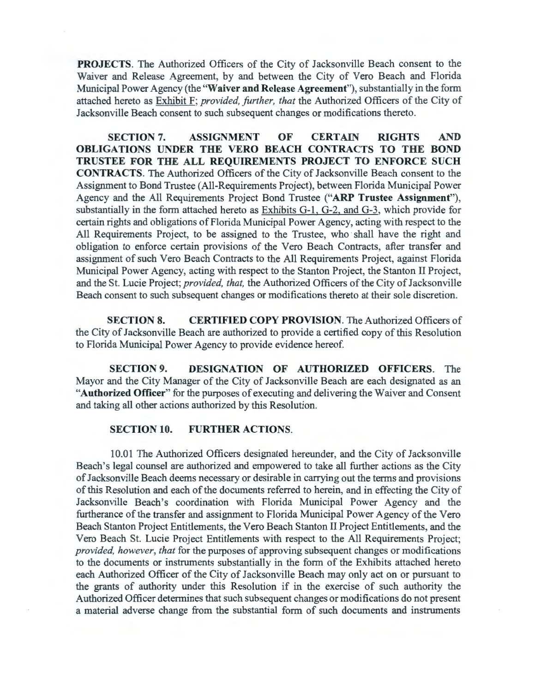**PROJECTS.** The Authorized Officers of the City of Jacksonville Beach consent to the Waiver and Release Agreement, by and between the City of Vero Beach and Florida Municipal Power Agency (the **"Waiver and Release Agreement"),** substantially in the form attached hereto as Exhibit F; *provided, further, that* the Authorized Officers of the City of Jacksonville Beach consent to such subsequent changes or modifications thereto.

**SECTION 7. ASSIGNMENT OF CERTAIN RIGHTS AND OBLIGATIONS UNDER THE VERO BEACH CONTRACTS TO THE BOND TRUSTEE FOR THE ALL REQUIREMENTS PROJECT TO ENFORCE SUCH CONTRACTS.** The Authorized Officers of the City of Jacksonville Beach consent to the Assignment to Bond Trustee (All-Requirements Project), between Florida Municipal Power Agency and the All Requirements Project Bond Trustee **("ARP Trustee Assignment"),**  substantially in the form attached hereto as Exhibits G-1, G-2, and G-3, which provide for certain rights and obligations of Florida Municipal Power Agency, acting with respect to the All Requirements Project, to be assigned to the Trustee, who shall have the right and obligation to enforce certain provisions of the Vero Beach Contracts, after transfer and assignment of such Vero Beach Contracts to the All Requirements Project, against Florida Municipal Power Agency, acting with respect to the Stanton Project, the Stanton II Project, and the St. Lucie Project; *provided, that,* the Authorized Officers of the City of Jacksonville Beach consent to such subsequent changes or modifications thereto at their sole discretion.

**SECTION 8. CERTIFIED COPY PROVISION.** The Authorized Officers of the City of Jacksonville Beach are authorized to provide a certified copy of this Resolution to Florida Municipal Power Agency to provide evidence hereof.

**SECTION 9. DESIGNATION OF AUTHORIZED OFFICERS.** The Mayor and the City Manager of the City of Jacksonville Beach are each designated as an **"Authorized Officer"** for the purposes of executing and delivering the Waiver and Consent and taking all other actions authorized by this Resolution.

### **SECTION 10. FURTHER ACTIONS.**

10.01 The Authorized Officers designated hereunder, and the City of Jacksonville Beach's legal counsel are authorized and empowered to take all further actions as the City of Jacksonville Beach deems necessary or desirable in carrying out the terms and provisions of this Resolution and each of the documents referred to herein, and in effecting the City of Jacksonville Beach's coordination with Florida Municipal Power Agency and the furtherance of the transfer and assignment to Florida Municipal Power Agency of the Vero Beach Stanton Project Entitlements, the Vero Beach Stanton II Project Entitlements, and the Vero Beach St. Lucie Project Entitlements with respect to the All Requirements Project; *provided, however, that* for the purposes of approving subsequent changes or modifications to the documents or instruments substantially in the form of the Exhibits attached hereto each Authorized Officer of the City of Jacksonville Beach may only act on or pursuant to the grants of authority under this Resolution if in the exercise of such authority the Authorized Officer determines that such subsequent changes or modifications do not present a material adverse change from the substantial form of such documents and instruments